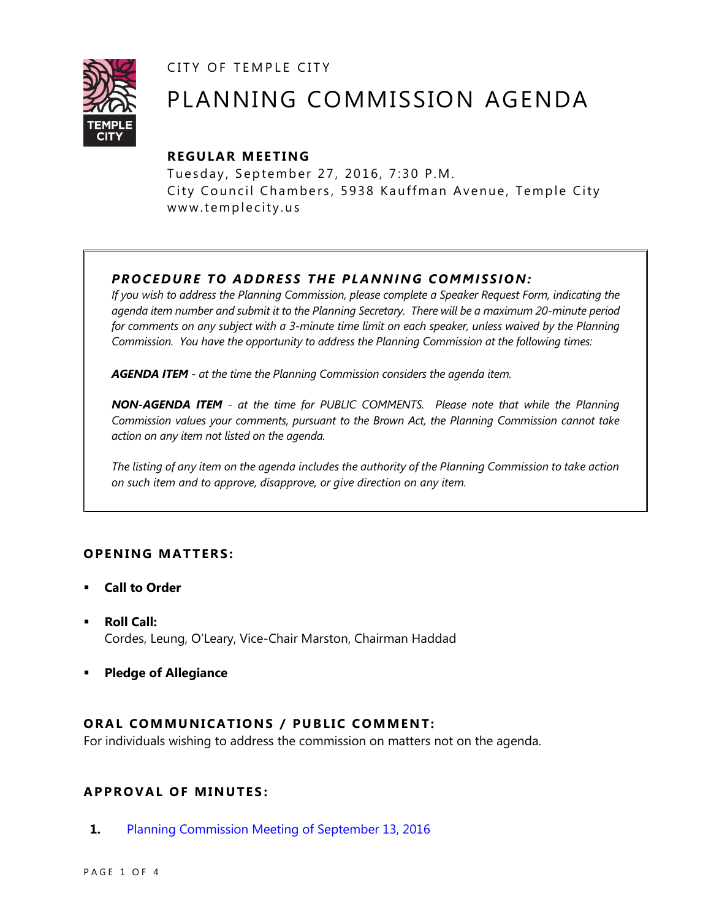CITY OF TEMPLE CITY



# PLANNING COMMISSION AGENDA

### **R EGULA R MEE TING**

Tuesday, September 27, 2016, 7:30 P.M. City Council Chambers, 5938 Kauffman Avenue, Temple City www.templecity.us

## *PRO CE DURE TO ADDRE SS THE P LA NNI NG COMM I SSION:*

*If you wish to address the Planning Commission, please complete a Speaker Request Form, indicating the agenda item number and submit it to the Planning Secretary. There will be a maximum 20-minute period*  for comments on any subject with a 3-minute time limit on each speaker, unless waived by the Planning *Commission. You have the opportunity to address the Planning Commission at the following times:*

*AGENDA ITEM - at the time the Planning Commission considers the agenda item.*

*NON-AGENDA ITEM - at the time for PUBLIC COMMENTS. Please note that while the Planning Commission values your comments, pursuant to the Brown Act, the Planning Commission cannot take action on any item not listed on the agenda.*

*The listing of any item on the agenda includes the authority of the Planning Commission to take action on such item and to approve, disapprove, or give direction on any item.*

#### **OPENING MATTERS:**

- **Call to Order**
- **Roll Call:** Cordes, Leung, O'Leary, Vice-Chair Marston, Chairman Haddad
- **Pledge of Allegiance**

#### **ORAL COMMUNICATIONS / PUBLIC COMMENT:**

For individuals wishing to address the commission on matters not on the agenda.

#### **APPRO VAL OF MINUTES :**

**1.** [Planning Commission Meeting of September 13, 2016](http://ca-templecity.civicplus.com/DocumentCenter/View/6802)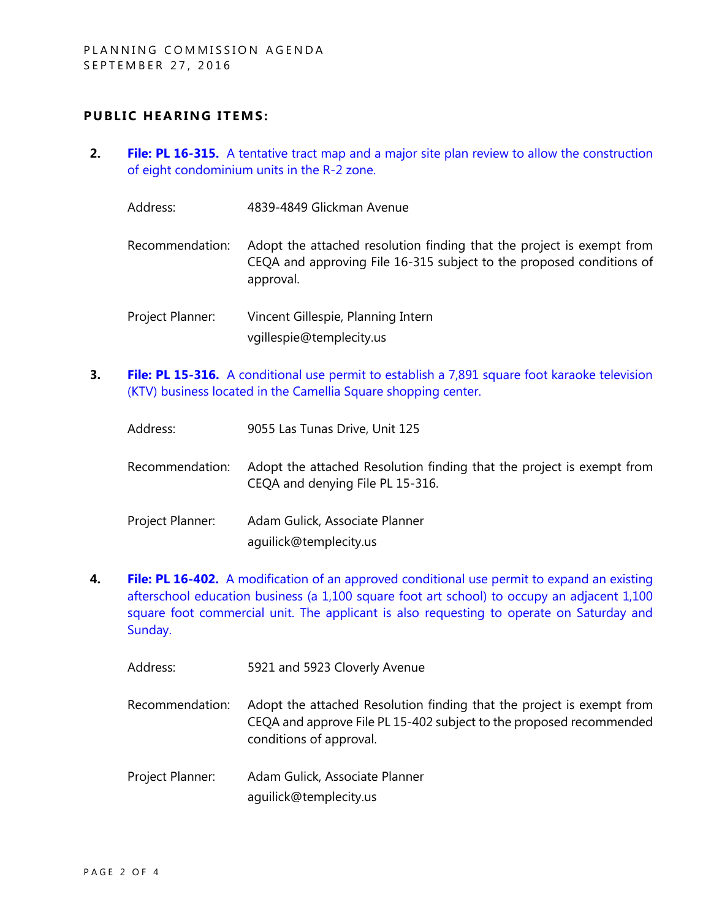#### **PUBLIC HEARING ITEMS:**

- **2. File: PL 16-315.** [A tentative tract map and a major site plan review to allow the construction](http://ca-templecity.civicplus.com/DocumentCenter/View/6803)  [of eight condominium units in the R-2 zone.](http://ca-templecity.civicplus.com/DocumentCenter/View/6803)
	- Address: 4839-4849 Glickman Avenue
	- Recommendation: Adopt the attached resolution finding that the project is exempt from CEQA and approving File 16-315 subject to the proposed conditions of approval.
	- Project Planner: Vincent Gillespie, Planning Intern vgillespie@templecity.us
- **3. File: PL 15-316.** A conditional use permit to establish a 7,891 square foot karaoke television [\(KTV\) business located in the Camellia Square shopping center.](http://ca-templecity.civicplus.com/DocumentCenter/View/6800)

| Address:         | 9055 Las Tunas Drive, Unit 125                                                                            |
|------------------|-----------------------------------------------------------------------------------------------------------|
| Recommendation:  | Adopt the attached Resolution finding that the project is exempt from<br>CEQA and denying File PL 15-316. |
| Project Planner: | Adam Gulick, Associate Planner<br>aguilick@templecity.us                                                  |

**4. File: PL 16-402.** [A modification of an approved conditional use permit to expand an existing](http://ca-templecity.civicplus.com/DocumentCenter/View/6801)  [afterschool education business \(a 1,100 square foot art school\) to occupy an adjacent 1,100](http://ca-templecity.civicplus.com/DocumentCenter/View/6801)  [square foot commercial unit. The applicant is also requesting to operate on Saturday and](http://ca-templecity.civicplus.com/DocumentCenter/View/6801)  [Sunday.](http://ca-templecity.civicplus.com/DocumentCenter/View/6801)

| Address:         | 5921 and 5923 Cloverly Avenue                                                                                                                                           |
|------------------|-------------------------------------------------------------------------------------------------------------------------------------------------------------------------|
| Recommendation:  | Adopt the attached Resolution finding that the project is exempt from<br>CEQA and approve File PL 15-402 subject to the proposed recommended<br>conditions of approval. |
| Project Planner: | Adam Gulick, Associate Planner<br>aguilick@templecity.us                                                                                                                |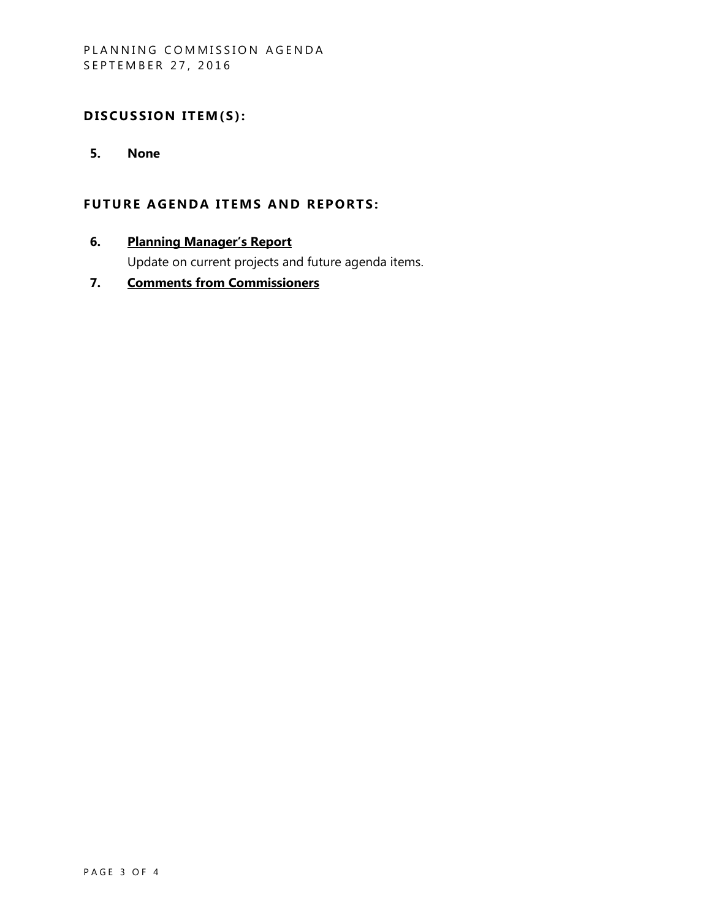#### DISCUSSION ITEM(S):

**5. None**

#### **FUTURE AGENDA ITEMS AND REPORTS:**

**6. Planning Manager's Report**

Update on current projects and future agenda items.

**7. Comments from Commissioners**